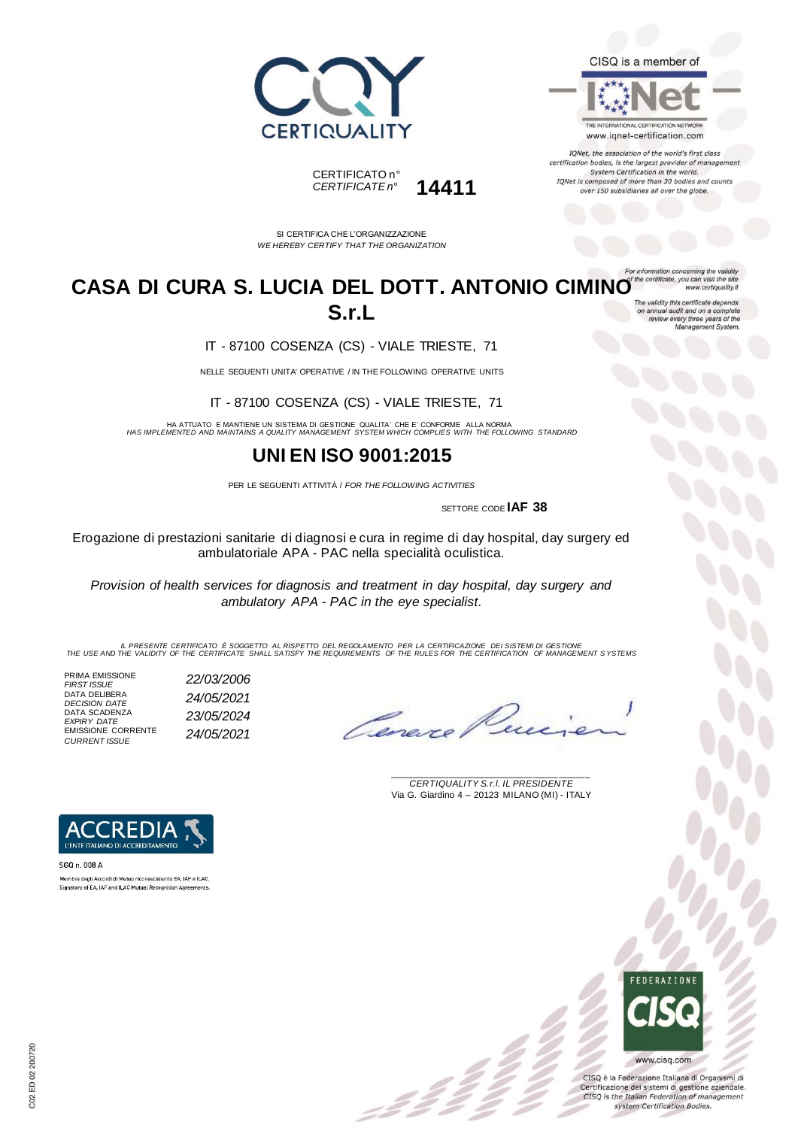



IQNet, the association of the world's first class certification bodies, is the largest provider of managem System Certification in the world. IQNet is composed of more than 30 bodies and counts over 150 subsidiaries all over the globe.

ion concerning the

www.certiquality.it





SI CERTIFICA CHE L'ORGANIZZAZIONE *WE HEREBY CERTIFY THAT THE ORGANIZATION*

#### **CASA DI CURA S. LUCIA DEL DOTT. ANTONIO CIMINO S.r.L** on annual audit and on a complete<br>review every three years of the<br>Management System.

IT - 87100 COSENZA (CS) - VIALE TRIESTE, 71

NELLE SEGUENTI UNITA' OPERATIVE / IN THE FOLLOWING OPERATIVE UNITS

IT - 87100 COSENZA (CS) - VIALE TRIESTE, 71

HA ATTUATO E MANTIENE UN SISTEMA DI GESTIONE QUALITA' CHE E' CONFORME ALLA NORMA *HAS IMPLEMENTED AND MAINTAINS A QUALITY MANAGEMENT SYSTEM WHICH COMPLIES WITH THE FOLLOWING STANDARD*

## **UNI EN ISO 9001:2015**

PER LE SEGUENTI ATTIVITÀ / *FOR THE FOLLOWING ACTIVITIES*

SETTORE CODE **IAF 38**

Erogazione di prestazioni sanitarie di diagnosi e cura in regime di day hospital, day surgery ed ambulatoriale APA - PAC nella specialità oculistica.

*Provision of health services for diagnosis and treatment in day hospital, day surgery and ambulatory APA - PAC in the eye specialist.*

IL PRESENTE CERTIFICATO E SOGGETTO AL RISPETTO DEL REGOLAMENTO PER LA CERTIFICAZIONE DEI SISTEMI DI GESTIONE<br>THE USE AND THE VALIDITY OF THE CERTIFICATE SHALL SATISFY THE REQUIREMENTS OF THE RULES FOR THE CERTIFICATION OF

PRIMA EMISSIONE *FIRST ISSUE 22/03/2006* DATA DELIBERA *DECISION DATE 24/05/2021* DATA SCADENZA *EXPIRY DATE 23/05/2024* EMISSIONE CORRENTE *CURRENT ISSUE 24/05/2021*

Caner

\_\_\_\_\_\_\_\_\_\_\_\_\_\_\_\_\_\_\_\_\_\_\_\_\_\_\_\_\_\_\_\_\_\_\_\_\_\_\_ *CERTIQUALITY S.r.l. IL PRESIDENTE* Via G. Giardino 4 – 20123 MILANO (MI) - ITALY



SGQ n. 008 A Membro degli Accordi di Mutuo riconoscimento EA. IAF e ILAC. Signatory of EA, IAF and ILAC Mutual Recognition Agree



CISQ è la Federazione Italiana di Organismi di Certificazione dei sistemi di gestione aziendale. CISQ is the Italian Federation of management system Certification Bodies.